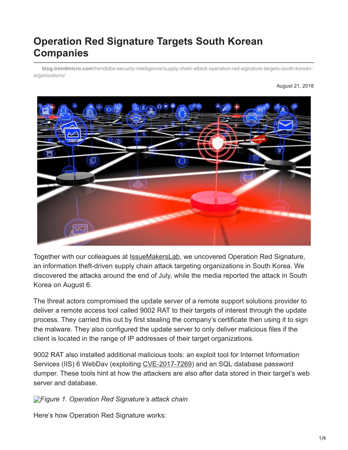# **Operation Red Signature Targets South Korean Companies**

**blog.trendmicro.com**[/trendlabs-security-intelligence/supply-chain-attack-operation-red-signature-targets-south-korean](https://blog.trendmicro.com/trendlabs-security-intelligence/supply-chain-attack-operation-red-signature-targets-south-korean-organizations/)organizations/

August 21, 2018



Together with our colleagues at [IssueMakersLab](http://www.issuemakerslab.com/), we uncovered Operation Red Signature, an information theft-driven supply chain attack targeting organizations in South Korea. We discovered the attacks around the end of July, while the media reported the attack in South Korea on August 6.

The threat actors compromised the update server of a remote support solutions provider to deliver a remote access tool called 9002 RAT to their targets of interest through the update process. They carried this out by first stealing the company's certificate then using it to sign the malware. They also configured the update server to only deliver malicious files if the client is located in the range of IP addresses of their target organizations.

9002 RAT also installed additional malicious tools: an exploit tool for Internet Information Services (IIS) 6 WebDav (exploiting [CVE-2017-7269\)](https://blog.trendmicro.com/en_us/research/17/c/iis-6-0-vulnerability-leads-code-execution.html) and an SQL database password dumper. These tools hint at how the attackers are also after data stored in their target's web server and database.

*[F](https://blog.trendmicro.com/content/dam/trendmicro/global/en/migrated/security-intelligence-migration-spreadsheet/trendlabs-security-intelligence/2018/08/operation-red-signature-1.jpg)igure 1. Operation Red Signature's attack chain*

Here's how Operation Red Signature works: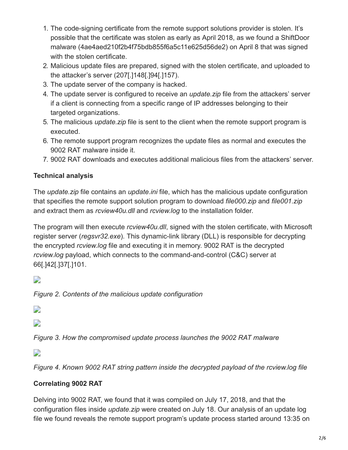- 1. The code-signing certificate from the remote support solutions provider is stolen. It's possible that the certificate was stolen as early as April 2018, as we found a ShiftDoor malware (4ae4aed210f2b4f75bdb855f6a5c11e625d56de2) on April 8 that was signed with the stolen certificate.
- 2. Malicious update files are prepared, signed with the stolen certificate, and uploaded to the attacker's server (207[.]148[.]94[.]157).
- 3. The update server of the company is hacked.
- 4. The update server is configured to receive an *update.zip* file from the attackers' server if a client is connecting from a specific range of IP addresses belonging to their targeted organizations.
- 5. The malicious *update.zip* file is sent to the client when the remote support program is executed.
- 6. The remote support program recognizes the update files as normal and executes the 9002 RAT malware inside it.
- 7. 9002 RAT downloads and executes additional malicious files from the attackers' server.

## **Technical analysis**

The *update.zip* file contains an *update.ini* file, which has the malicious update configuration that specifies the remote support solution program to download *file000.zip* and *file001.zip* and extract them as *rcview40u.dll* and *rcview.log* to the installation folder.

The program will then execute *rcview40u.dll*, signed with the stolen certificate, with Microsoft register server (*regsvr32.exe*)*.* This dynamic-link library (DLL) is responsible for decrypting the encrypted *rcview.log* file and executing it in memory. 9002 RAT is the decrypted *rcview.log* payload, which connects to the command-and-control (C&C) server at 66[.]42[.]37[.]101.

 $\overline{\phantom{a}}$ 

*Figure 2. Contents of the malicious update configuration*

- $\overline{\phantom{a}}$
- $\overline{\phantom{a}}$

*Figure 3. How the compromised update process launches the 9002 RAT malware*

 $\overline{\phantom{a}}$ 

*Figure 4. Known 9002 RAT string pattern inside the decrypted payload of the rcview.log file*

## **Correlating 9002 RAT**

Delving into 9002 RAT, we found that it was compiled on July 17, 2018, and that the configuration files inside *update.zip* were created on July 18. Our analysis of an update log file we found reveals the remote support program's update process started around 13:35 on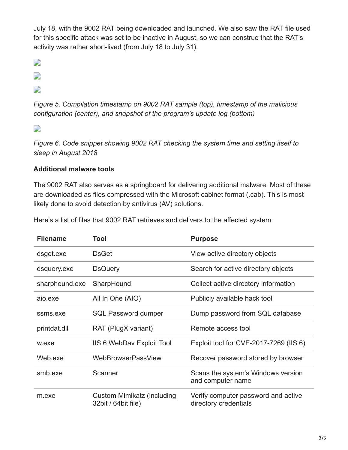July 18, with the 9002 RAT being downloaded and launched. We also saw the RAT file used for this specific attack was set to be inactive in August, so we can construe that the RAT's activity was rather short-lived (from July 18 to July 31).

 $\overline{\phantom{a}}$ 

- $\overline{\phantom{a}}$
- 

 $\overline{\phantom{a}}$ 

*Figure 5. Compilation timestamp on 9002 RAT sample (top), timestamp of the malicious configuration (center), and snapshot of the program's update log (bottom)*

 $\overline{\phantom{a}}$ 

*Figure 6. Code snippet showing 9002 RAT checking the system time and setting itself to sleep in August 2018*

#### **Additional malware tools**

The 9002 RAT also serves as a springboard for delivering additional malware. Most of these are downloaded as files compressed with the Microsoft cabinet format (.cab). This is most likely done to avoid detection by antivirus (AV) solutions.

| <b>Filename</b> | Tool                                              | <b>Purpose</b>                                               |
|-----------------|---------------------------------------------------|--------------------------------------------------------------|
| dsget.exe       | <b>DsGet</b>                                      | View active directory objects                                |
| dsquery.exe     | <b>DsQuery</b>                                    | Search for active directory objects                          |
| sharphound.exe  | SharpHound                                        | Collect active directory information                         |
| aio.exe         | All In One (AIO)                                  | Publicly available hack tool                                 |
| ssms.exe        | <b>SQL Password dumper</b>                        | Dump password from SQL database                              |
| printdat.dll    | RAT (PlugX variant)                               | Remote access tool                                           |
| w.exe           | <b>IIS 6 WebDav Exploit Tool</b>                  | Exploit tool for CVE-2017-7269 (IIS 6)                       |
| Web.exe         | <b>WebBrowserPassView</b>                         | Recover password stored by browser                           |
| smb.exe         | Scanner                                           | Scans the system's Windows version<br>and computer name      |
| m.exe           | Custom Mimikatz (including<br>32bit / 64bit file) | Verify computer password and active<br>directory credentials |

Here's a list of files that 9002 RAT retrieves and delivers to the affected system: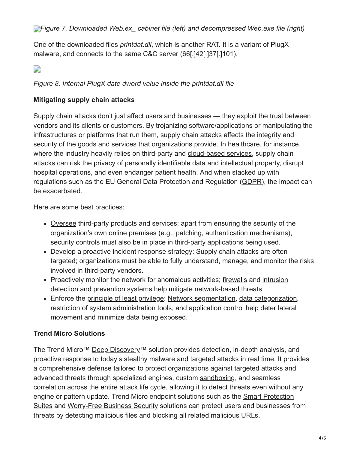One of the downloaded files *printdat.dll*, which is another RAT. It is a variant of PlugX malware, and connects to the same C&C server (66[.]42[.]37[.]101).

## $\overline{\phantom{a}}$

#### *Figure 8. Internal PlugX date dword value inside the printdat.dll file*

#### **Mitigating supply chain attacks**

Supply chain attacks don't just affect users and businesses — they exploit the trust between vendors and its clients or customers. By trojanizing software/applications or manipulating the infrastructures or platforms that run them, supply chain attacks affects the integrity and security of the goods and services that organizations provide. In [healthcare,](https://www.trendmicro.com/vinfo/tmr/?/us/security/news/internet-of-things/exposed-medical-devices-and-supply-chain-attacks-in-connected-hospitals) for instance, where the industry heavily relies on third-party and [cloud-based services](https://www.trendmicro.com/vinfo/tmr/?/us/security/news/virtualization-and-cloud/-misconfigured-cloud-services-pose-high-security-risks-for-organizations), supply chain attacks can risk the privacy of personally identifiable data and intellectual property, disrupt hospital operations, and even endanger patient health. And when stacked up with regulations such as the EU General Data Protection and Regulation ([GDPR](https://www.trendmicro.com/vinfo/tmr/?/us/security/definition/eu-general-data-protection-regulation-gdpr)), the impact can be exacerbated.

Here are some best practices:

- [Oversee](https://www.trendmicro.com/vinfo/tmr/?/us/security/news/cybercrime-and-digital-threats/data-breaches-highlight-the-need-for-managed-detection-and-response#thirdparty) third-party products and services; apart from ensuring the security of the organization's own online premises (e.g., patching, authentication mechanisms), security controls must also be in place in third-party applications being used.
- Develop a proactive incident response strategy: Supply chain attacks are often targeted; organizations must be able to fully understand, manage, and monitor the risks involved in third-party vendors.
- [Proactively monitor the network for anomalous activities; f](https://blog.trendmicro.com/en_us/business/products/network/intrusion-prevention.html)[irewall](https://www.trendmicro.com/vinfo/tmr/?/us/security/news/security-technology/best-practices-deploying-an-effective-firewall)[s and intrusion](https://blog.trendmicro.com/en_us/business/products/network/intrusion-prevention.html) detection and prevention systems help mitigate network-based threats.
- Enforce the [principle of least privilege:](https://www.trendmicro.com/vinfo/tmr/?/us/security/news/cybercrime-and-digital-threats/how-can-the-network-be-protected-from-targeted-attacks) [Network segmentation,](https://www.trendmicro.com/vinfo/tmr/?/us/security/news/cyber-attacks/protecting-data-through-network-segmentation) [data categorization,](https://www.trendmicro.com/vinfo/tmr/?/us/security/news/cyber-attacks/keeping-digital-assets-safe-need-for-data-classification) [restriction](https://www.trendmicro.com/vinfo/us/security/news/cybercrime-and-digital-threats/best-practices-securing-sysadmin-tools) of system administration [tools](https://www.trendmicro.com/vinfo/tmr/?/us/security/news/security-technology/security-101-the-rise-of-fileless-threats-that-abuse-powershell), and application control help deter lateral movement and minimize data being exposed.

## **Trend Micro Solutions**

The Trend Micro™ [Deep Discovery™](https://blog.trendmicro.com/en_us/business/products/network/advanced-threat-protection/deep-discovery-threat-intelligence-network-analytics.html) solution provides detection, in-depth analysis, and proactive response to today's stealthy malware and targeted attacks in real time. It provides a comprehensive defense tailored to protect organizations against targeted attacks and advanced threats through specialized engines, custom [sandboxing](https://www.trendmicro.com/vinfo/tmr/?/us/security/news/security-technology/how-can-advanced-sandboxing-techniques-thwart-elusive-malware), and seamless correlation across the entire attack life cycle, allowing it to detect threats even without any engine or pattern update. Trend Micro endpoint solutions such as the **Smart Protection** [Suites and Worry-Free Business Security solutions can protect users and businesses fr](https://blog.trendmicro.com/en_us/business/products/user-protection/sps.html)om threats by detecting malicious files and blocking all related malicious URLs.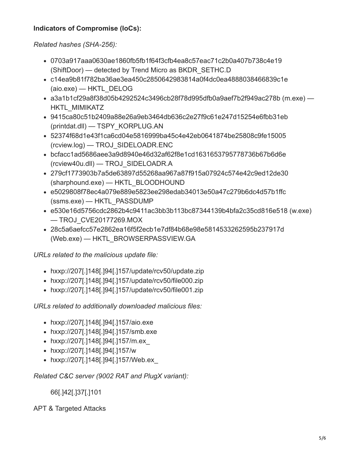#### **Indicators of Compromise (IoCs):**

*Related hashes (SHA-256):*

- 0703a917aaa0630ae1860fb5fb1f64f3cfb4ea8c57eac71c2b0a407b738c4e19 (ShiftDoor) — detected by Trend Micro as BKDR\_SETHC.D
- c14ea9b81f782ba36ae3ea450c2850642983814a0f4dc0ea4888038466839c1e (aio.exe) — HKTL\_DELOG
- a3a1b1cf29a8f38d05b4292524c3496cb28f78d995dfb0a9aef7b2f949ac278b (m.exe) HKTL\_MIMIKATZ
- 9415ca80c51b2409a88e26a9eb3464db636c2e27f9c61e247d15254e6fbb31eb (printdat.dll) — TSPY\_KORPLUG.AN
- 52374f68d1e43f1ca6cd04e5816999ba45c4e42eb0641874be25808c9fe15005 (rcview.log) — TROJ\_SIDELOADR.ENC
- bcfacc1ad5686aee3a9d8940e46d32af62f8e1cd1631653795778736b67b6d6e (rcview40u.dll) — TROJ\_SIDELOADR.A
- 279cf1773903b7a5de63897d55268aa967a87f915a07924c574e42c9ed12de30 (sharphound.exe) — HKTL\_BLOODHOUND
- e5029808f78ec4a079e889e5823ee298edab34013e50a47c279b6dc4d57b1ffc (ssms.exe) — HKTL\_PASSDUMP
- e530e16d5756cdc2862b4c9411ac3bb3b113bc87344139b4bfa2c35cd816e518 (w.exe) — TROJ\_CVE20177269.MOX
- 28c5a6aefcc57e2862ea16f5f2ecb1e7df84b68e98e5814533262595b237917d (Web.exe) — HKTL\_BROWSERPASSVIEW.GA

*URLs related to the malicious update file:*

- hxxp://207[.]148[.]94[.]157/update/rcv50/update.zip
- hxxp://207[.]148[.]94[.]157/update/rcv50/file000.zip
- hxxp://207[.]148[.]94[.]157/update/rcv50/file001.zip

*URLs related to additionally downloaded malicious files:*

- hxxp://207[.]148[.]94[.]157/aio.exe
- hxxp://207[.]148[.]94[.]157/smb.exe
- hxxp://207[.]148[.]94[.]157/m.ex\_
- hxxp://207[.]148[.]94[.]157/w
- hxxp://207[.]148[.]94[.]157/Web.ex\_

*Related C&C server (9002 RAT and PlugX variant):*

66[.]42[.]37[.]101

APT & Targeted Attacks